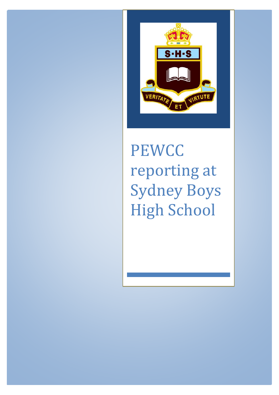

# **PEWCC** reporting at Sydney Boys High School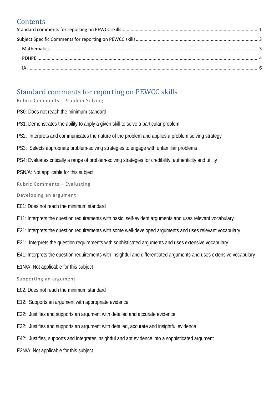# **Contents**

# <span id="page-1-0"></span>Standard comments for reporting on PEWCC skills

Rubric Comments - Problem Solving

- PS0: Does not reach the minimum standard
- PS1: Demonstrates the ability to apply a given skill to solve a particular problem
- PS2: Interprets and communicates the nature of the problem and applies a problem solving strategy
- PS3: Selects appropriate problem-solving strategies to engage with unfamiliar problems
- PS4: Evaluates critically a range of problem-solving strategies for credibility, authenticity and utility
- PSN/A: Not applicable for this subject

Rubric Comments – Evaluating

Developing an argument

- E01: Does not reach the minimum standard
- E11: Interprets the question requirements with basic, self-evident arguments and uses relevant vocabulary
- E21: Interprets the question requirements with some well-developed arguments and uses relevant vocabulary
- E31: Interprets the question requirements with sophisticated arguments and uses extensive vocabulary
- E41: Interprets the question requirements with insightful and differentiated arguments and uses extensive vocabulary
- E1N/A: Not applicable for this subject

#### Supporting an argument

- E02: Does not reach the minimum standard
- E12: Supports an argument with appropriate evidence
- E22: Justifies and supports an argument with detailed and accurate evidence
- E32: Justifies and supports an argument with detailed, accurate and insightful evidence
- E42: Justifies, supports and integrates insightful and apt evidence into a sophisticated argument
- E2N/A: Not applicable for this subject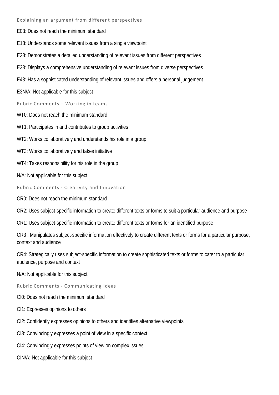Explaining an argument from different perspectives

E03: Does not reach the minimum standard

E13: Understands some relevant issues from a single viewpoint

E23: Demonstrates a detailed understanding of relevant issues from different perspectives

E33: Displays a comprehensive understanding of relevant issues from diverse perspectives

E43: Has a sophisticated understanding of relevant issues and offers a personal judgement

E3N/A: Not applicable for this subject

Rubric Comments – Working in teams

WT0: Does not reach the minimum standard

WT1: Participates in and contributes to group activities

WT2: Works collaboratively and understands his role in a group

WT3: Works collaboratively and takes initiative

WT4: Takes responsibility for his role in the group

N/A: Not applicable for this subject

Rubric Comments - Creativity and Innovation

CR0: Does not reach the minimum standard

CR2: Uses subject-specific information to create different texts or forms to suit a particular audience and purpose

CR1: Uses subject-specific information to create different texts or forms for an identified purpose

CR3 : Manipulates subject-specific information effectively to create different texts or forms for a particular purpose, context and audience

CR4: Strategically uses subject-specific information to create sophisticated texts or forms to cater to a particular audience, purpose and context

N/A: Not applicable for this subject

Rubric Comments - Communicating Ideas

CI0: Does not reach the minimum standard

CI1: Expresses opinions to others

CI2: Confidently expresses opinions to others and identifies alternative viewpoints

CI3: Convincingly expresses a point of view in a specific context

CI4: Convincingly expresses points of view on complex issues

CIN/A: Not applicable for this subject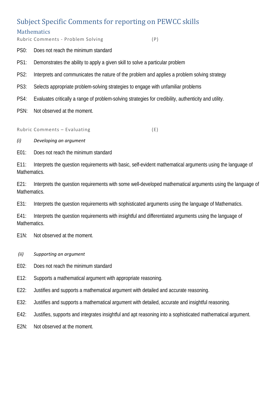# <span id="page-3-0"></span>Subject Specific Comments for reporting on PEWCC skills

### <span id="page-3-1"></span>**Mathematics**

Rubric Comments - Problem Solving (P)

- PS0: Does not reach the minimum standard
- PS1: Demonstrates the ability to apply a given skill to solve a particular problem
- PS2: Interprets and communicates the nature of the problem and applies a problem solving strategy
- PS3: Selects appropriate problem-solving strategies to engage with unfamiliar problems
- PS4: Evaluates critically a range of problem-solving strategies for credibility, authenticity and utility.
- PSN: Not observed at the moment.

Rubric Comments – Evaluating (E)

#### *(i) Developing an argument*

E01: Does not reach the minimum standard

E11: Interprets the question requirements with basic, self-evident mathematical arguments using the language of Mathematics.

E21: Interprets the question requirements with some well-developed mathematical arguments using the language of Mathematics.

E31: Interprets the question requirements with sophisticated arguments using the language of Mathematics.

E41: Interprets the question requirements with insightful and differentiated arguments using the language of Mathematics.

- E1N: Not observed at the moment.
- *(ii) Supporting an argument*
- E02: Does not reach the minimum standard
- E12: Supports a mathematical argument with appropriate reasoning.
- E22: Justifies and supports a mathematical argument with detailed and accurate reasoning.
- E32: Justifies and supports a mathematical argument with detailed, accurate and insightful reasoning.
- E42: Justifies, supports and integrates insightful and apt reasoning into a sophisticated mathematical argument.
- E2N: Not observed at the moment.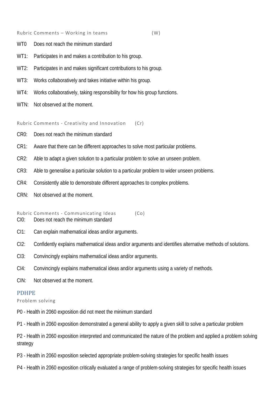Rubric Comments – Working in teams (W)

- WT0 Does not reach the minimum standard
- WT1: Participates in and makes a contribution to his group.
- WT2: Participates in and makes significant contributions to his group.
- WT3: Works collaboratively and takes initiative within his group.
- WT4: Works collaboratively, taking responsibility for how his group functions.
- WTN: Not observed at the moment.

Rubric Comments - Creativity and Innovation (Cr)

- CR0: Does not reach the minimum standard
- CR1: Aware that there can be different approaches to solve most particular problems.
- CR2: Able to adapt a given solution to a particular problem to solve an unseen problem.
- CR3: Able to generalise a particular solution to a particular problem to wider unseen problems.
- CR4: Consistently able to demonstrate different approaches to complex problems.
- CRN: Not observed at the moment.

Rubric Comments - Communicating Ideas (Co) CI0: Does not reach the minimum standard

- CI1: Can explain mathematical ideas and/or arguments.
- CI2: Confidently explains mathematical ideas and/or arguments and identifies alternative methods of solutions.
- CI3: Convincingly explains mathematical ideas and/or arguments.
- CI4: Convincingly explains mathematical ideas and/or arguments using a variety of methods.
- CIN: Not observed at the moment.

#### <span id="page-4-0"></span>PDHPE

Problem solving

- P0 Health in 2060 exposition did not meet the minimum standard
- P1 Health in 2060 exposition demonstrated a general ability to apply a given skill to solve a particular problem

P2 - Health in 2060 exposition interpreted and communicated the nature of the problem and applied a problem solving strategy

- P3 Health in 2060 exposition selected appropriate problem-solving strategies for specific health issues
- P4 Health in 2060 exposition critically evaluated a range of problem-solving strategies for specific health issues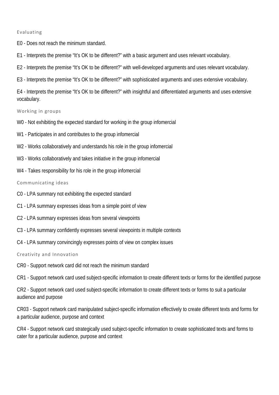#### Evaluating

- E0 Does not reach the minimum standard.
- E1 Interprets the premise "It's OK to be different?" with a basic argument and uses relevant vocabulary.
- E2 Interprets the premise "It's OK to be different?" with well-developed arguments and uses relevant vocabulary.
- E3 Interprets the premise "It's OK to be different?" with sophisticated arguments and uses extensive vocabulary.

E4 - Interprets the premise "It's OK to be different?" with insightful and differentiated arguments and uses extensive vocabulary.

Working in groups

- W0 Not exhibiting the expected standard for working in the group infomercial
- W1 Participates in and contributes to the group infomercial
- W2 Works collaboratively and understands his role in the group infomercial
- W<sub>3</sub> Works collaboratively and takes initiative in the group infomercial
- W4 Takes responsibility for his role in the group infomercial

Communicating ideas

- C0 LPA summary not exhibiting the expected standard
- C1 LPA summary expresses ideas from a simple point of view
- C2 LPA summary expresses ideas from several viewpoints
- C3 LPA summary confidently expresses several viewpoints in multiple contexts
- C4 LPA summary convincingly expresses points of view on complex issues

Creativity and Innovation

CR0 - Support network card did not reach the minimum standard

CR1 - Support network card used subject-specific information to create different texts or forms for the identified purpose

CR2 - Support network card used subject-specific information to create different texts or forms to suit a particular audience and purpose

CR03 - Support network card manipulated subject-specific information effectively to create different texts and forms for a particular audience, purpose and context

CR4 - Support network card strategically used subject-specific information to create sophisticated texts and forms to cater for a particular audience, purpose and context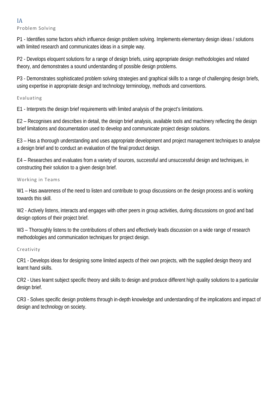#### <span id="page-6-0"></span>IA Problem Solving

P1 - Identifies some factors which influence design problem solving. Implements elementary design ideas / solutions with limited research and communicates ideas in a simple way.

P2 - Develops eloquent solutions for a range of design briefs, using appropriate design methodologies and related theory, and demonstrates a sound understanding of possible design problems.

P3 - Demonstrates sophisticated problem solving strategies and graphical skills to a range of challenging design briefs, using expertise in appropriate design and technology terminology, methods and conventions.

### Evaluating

E1 - Interprets the design brief requirements with limited analysis of the project's limitations.

E2 – Recognises and describes in detail, the design brief analysis, available tools and machinery reflecting the design brief limitations and documentation used to develop and communicate project design solutions.

E3 – Has a thorough understanding and uses appropriate development and project management techniques to analyse a design brief and to conduct an evaluation of the final product design.

E4 – Researches and evaluates from a variety of sources, successful and unsuccessful design and techniques, in constructing their solution to a given design brief.

#### Working in Teams

W1 – Has awareness of the need to listen and contribute to group discussions on the design process and is working towards this skill.

W<sub>2</sub> - Actively listens, interacts and engages with other peers in group activities, during discussions on good and bad design options of their project brief.

W3 – Thoroughly listens to the contributions of others and effectively leads discussion on a wide range of research methodologies and communication techniques for project design.

#### Creativity

CR1 - Develops ideas for designing some limited aspects of their own projects, with the supplied design theory and learnt hand skills.

CR2 - Uses learnt subject specific theory and skills to design and produce different high quality solutions to a particular design brief.

CR3 - Solves specific design problems through in-depth knowledge and understanding of the implications and impact of design and technology on society.